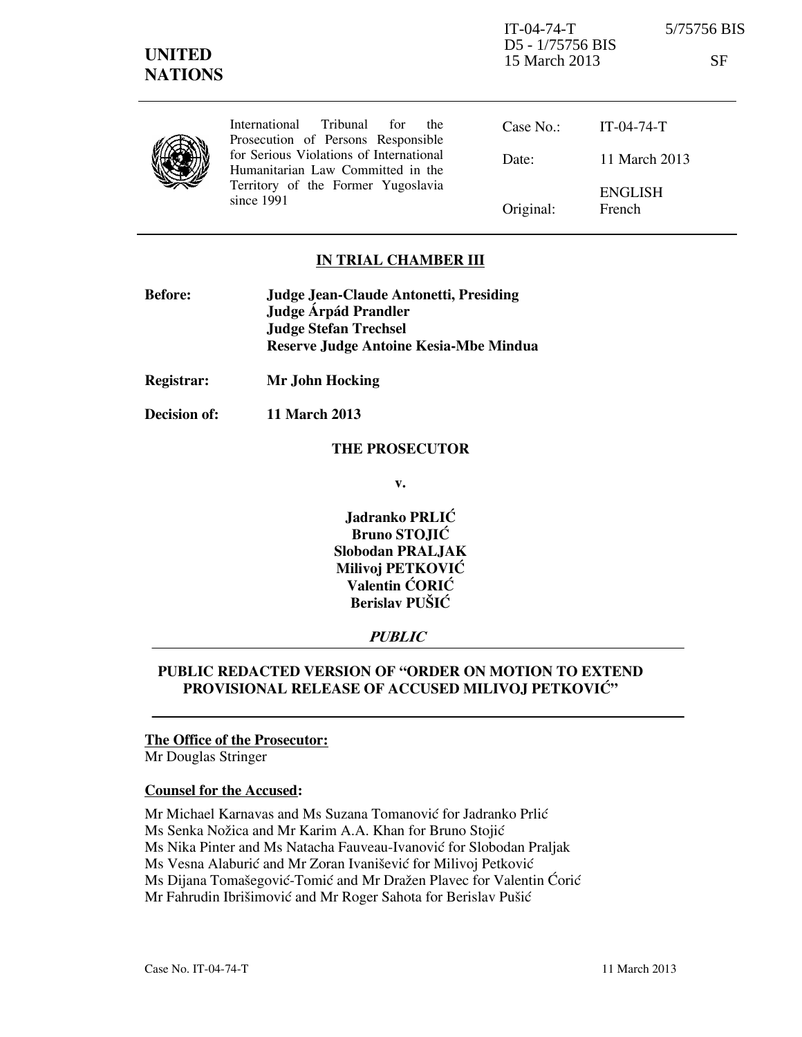| International Tribunal for<br>the<br>Prosecution of Persons Responsible      | Case No.: $IT-04-74-T$ |                          |
|------------------------------------------------------------------------------|------------------------|--------------------------|
| for Serious Violations of International<br>Humanitarian Law Committed in the | Date:                  | 11 March 2013            |
| Territory of the Former Yugoslavia<br>since $1991$                           | Original:              | <b>ENGLISH</b><br>French |

### **IN TRIAL CHAMBER III**

| <b>Before:</b> | Judge Jean-Claude Antonetti, Presiding |
|----------------|----------------------------------------|
|                | Judge Árpád Prandler                   |
|                | <b>Judge Stefan Trechsel</b>           |
|                | Reserve Judge Antoine Kesia-Mbe Mindua |

**Registrar: Mr John Hocking** 

**Decision of: 11 March 2013** 

#### **THE PROSECUTOR**

**v.** 

**Jadranko PRLIĆ Bruno STOJIĆ Slobodan PRALJAK Milivoj PETKOVIĆ Valentin CORIC Berislav PUŠIĆ** 

# **PUBLIC**

## **PUBLIC REDACTED VERSION OF "ORDER ON MOTION TO EXTEND PROVISIONAL RELEASE OF ACCUSED MILIVOJ PETKOVIĆ"**

### **The Office of the Prosecutor:**

Mr Douglas Stringer

#### **Counsel for the Accused:**

- Mr Michael Karnavas and Ms Suzana Tomanović for Jadranko Prlić
- Ms Senka Nožica and Mr Karim A.A. Khan for Bruno Stojić

Ms Nika Pinter and Ms Natacha Fauveau-Ivanović for Slobodan Praljak

Ms Vesna Alaburić and Mr Zoran Ivanišević for Milivoj Petković

Ms Dijana Tomašegović-Tomić and Mr Dražen Plavec for Valentin Ćorić

Mr Fahrudin Ibrišimović and Mr Roger Sahota for Berislav Pušić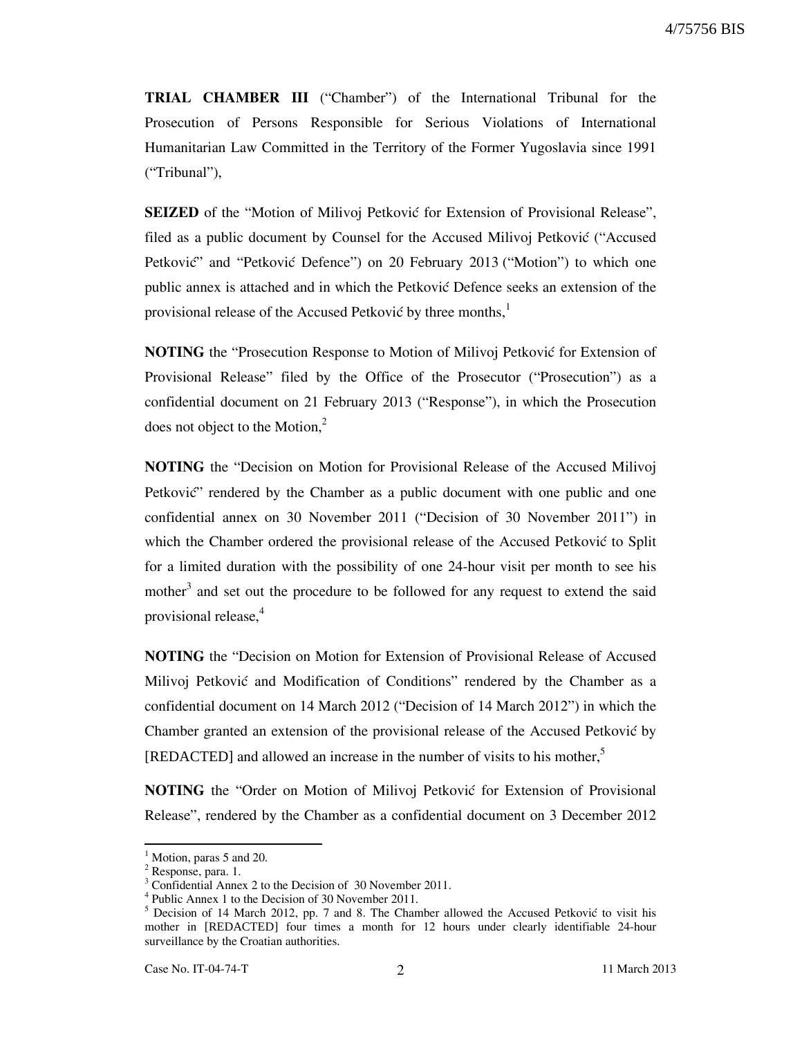**TRIAL CHAMBER III** ("Chamber") of the International Tribunal for the Prosecution of Persons Responsible for Serious Violations of International Humanitarian Law Committed in the Territory of the Former Yugoslavia since 1991 ("Tribunal"),

**SEIZED** of the "Motion of Milivoj Petković for Extension of Provisional Release", filed as a public document by Counsel for the Accused Milivoj Petković ("Accused Petković" and "Petković Defence") on 20 February 2013 ("Motion") to which one public annex is attached and in which the Petković Defence seeks an extension of the provisional release of the Accused Petković by three months,<sup>1</sup>

**NOTING** the "Prosecution Response to Motion of Milivoj Petković for Extension of Provisional Release" filed by the Office of the Prosecutor ("Prosecution") as a confidential document on 21 February 2013 ("Response"), in which the Prosecution does not object to the Motion, $2$ 

**NOTING** the "Decision on Motion for Provisional Release of the Accused Milivoj Petković" rendered by the Chamber as a public document with one public and one confidential annex on 30 November 2011 ("Decision of 30 November 2011") in which the Chamber ordered the provisional release of the Accused Petković to Split for a limited duration with the possibility of one 24-hour visit per month to see his mother<sup>3</sup> and set out the procedure to be followed for any request to extend the said provisional release,<sup>4</sup>

**NOTING** the "Decision on Motion for Extension of Provisional Release of Accused Milivoj Petković and Modification of Conditions" rendered by the Chamber as a confidential document on 14 March 2012 ("Decision of 14 March 2012") in which the Chamber granted an extension of the provisional release of the Accused Petković by [REDACTED] and allowed an increase in the number of visits to his mother,<sup>5</sup>

**NOTING** the "Order on Motion of Milivoj Petković for Extension of Provisional Release", rendered by the Chamber as a confidential document on 3 December 2012

-

<sup>1</sup> Motion, paras 5 and 20.

<sup>&</sup>lt;sup>2</sup> Response, para. 1.

<sup>&</sup>lt;sup>3</sup> Confidential Annex 2 to the Decision of 30 November 2011.

<sup>4</sup> Public Annex 1 to the Decision of 30 November 2011.

 $<sup>5</sup>$  Decision of 14 March 2012, pp. 7 and 8. The Chamber allowed the Accused Petković to visit his</sup> mother in [REDACTED] four times a month for 12 hours under clearly identifiable 24-hour surveillance by the Croatian authorities.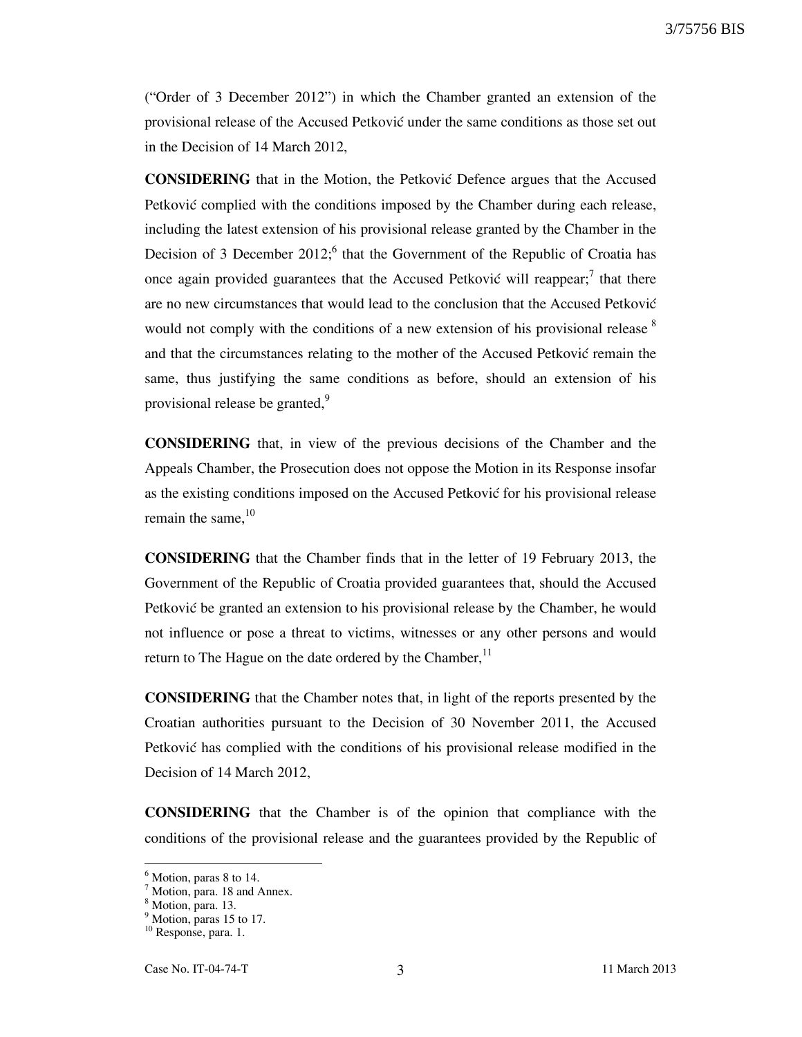("Order of 3 December 2012") in which the Chamber granted an extension of the provisional release of the Accused Petković under the same conditions as those set out in the Decision of 14 March 2012,

**CONSIDERING** that in the Motion, the Petković Defence argues that the Accused Petković complied with the conditions imposed by the Chamber during each release, including the latest extension of his provisional release granted by the Chamber in the Decision of 3 December 2012; $<sup>6</sup>$  that the Government of the Republic of Croatia has</sup> once again provided guarantees that the Accused Petković will reappear;<sup>7</sup> that there are no new circumstances that would lead to the conclusion that the Accused Petković would not comply with the conditions of a new extension of his provisional release  $\delta$ and that the circumstances relating to the mother of the Accused Petković remain the same, thus justifying the same conditions as before, should an extension of his provisional release be granted,<sup>9</sup>

**CONSIDERING** that, in view of the previous decisions of the Chamber and the Appeals Chamber, the Prosecution does not oppose the Motion in its Response insofar as the existing conditions imposed on the Accused Petković for his provisional release remain the same. $10$ 

**CONSIDERING** that the Chamber finds that in the letter of 19 February 2013, the Government of the Republic of Croatia provided guarantees that, should the Accused Petković be granted an extension to his provisional release by the Chamber, he would not influence or pose a threat to victims, witnesses or any other persons and would return to The Hague on the date ordered by the Chamber,  $<sup>11</sup>$ </sup>

**CONSIDERING** that the Chamber notes that, in light of the reports presented by the Croatian authorities pursuant to the Decision of 30 November 2011, the Accused Petković has complied with the conditions of his provisional release modified in the Decision of 14 March 2012,

**CONSIDERING** that the Chamber is of the opinion that compliance with the conditions of the provisional release and the guarantees provided by the Republic of

-

<sup>&</sup>lt;sup>6</sup> Motion, paras 8 to 14.

<sup>&</sup>lt;sup>7</sup> Motion, para. 18 and Annex.

<sup>8</sup> Motion, para. 13.

<sup>&</sup>lt;sup>9</sup> Motion, paras 15 to 17.

<sup>&</sup>lt;sup>10</sup> Response, para. 1.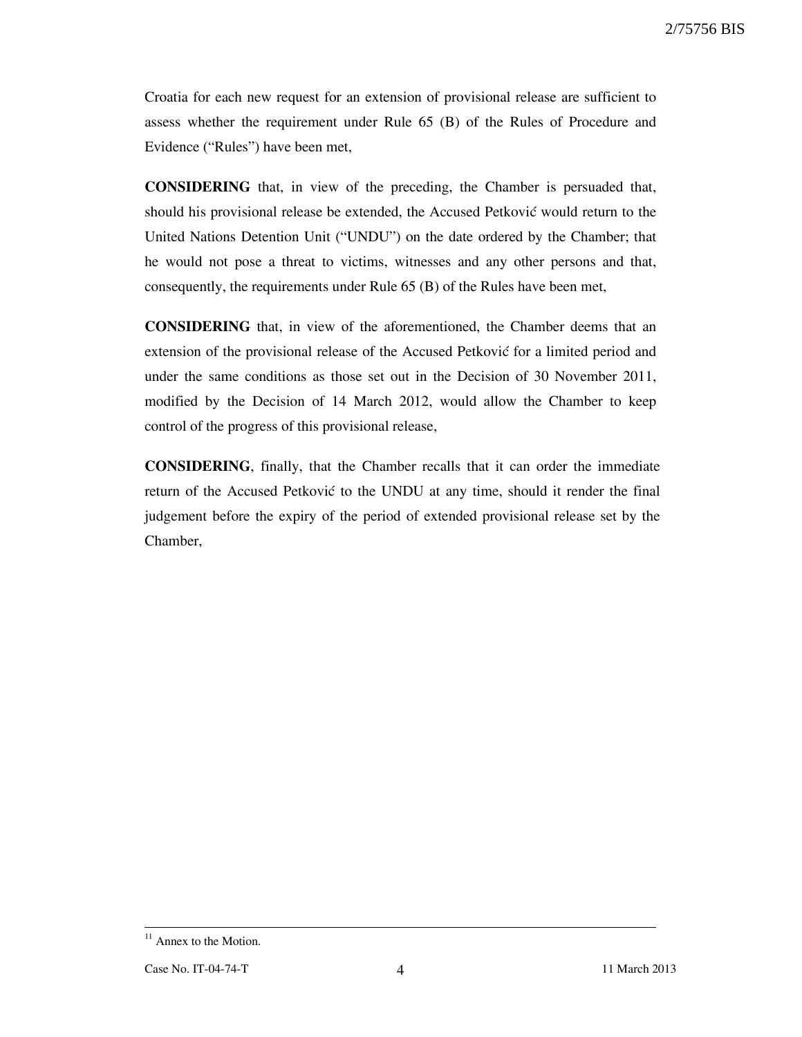Croatia for each new request for an extension of provisional release are sufficient to assess whether the requirement under Rule 65 (B) of the Rules of Procedure and Evidence ("Rules") have been met,

**CONSIDERING** that, in view of the preceding, the Chamber is persuaded that, should his provisional release be extended, the Accused Petković would return to the United Nations Detention Unit ("UNDU") on the date ordered by the Chamber; that he would not pose a threat to victims, witnesses and any other persons and that, consequently, the requirements under Rule 65 (B) of the Rules have been met,

**CONSIDERING** that, in view of the aforementioned, the Chamber deems that an extension of the provisional release of the Accused Petković for a limited period and under the same conditions as those set out in the Decision of 30 November 2011, modified by the Decision of 14 March 2012, would allow the Chamber to keep control of the progress of this provisional release,

**CONSIDERING**, finally, that the Chamber recalls that it can order the immediate return of the Accused Petković to the UNDU at any time, should it render the final judgement before the expiry of the period of extended provisional release set by the Chamber,

-

<sup>&</sup>lt;sup>11</sup> Annex to the Motion.